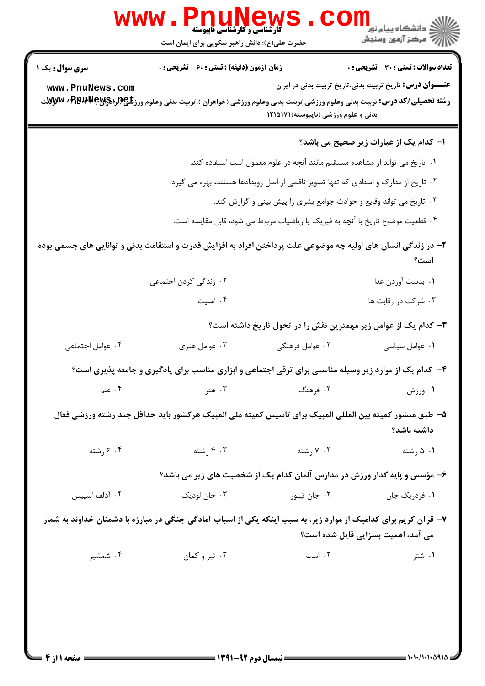| <b>سری سوال :</b> یک ۱                                                                                                                          | <b>زمان آزمون (دقیقه) : تستی : 60 ٪ تشریحی : 0</b> |                                                                                                        | تعداد سوالات : تستى : 30 ٪ تشريحي : 0                            |  |
|-------------------------------------------------------------------------------------------------------------------------------------------------|----------------------------------------------------|--------------------------------------------------------------------------------------------------------|------------------------------------------------------------------|--|
| www.PnuNews.com                                                                                                                                 |                                                    |                                                                                                        | <b>عنــــوان درس:</b> تاریخ تربیت بدنی،تاریخ تربیت بدنی در ایران |  |
| <b>رشته تحصیلی/کد درس:</b> تربیت بدنی وعلوم ورزشی،تربیت بدنی وعلوم ورزشی (خواهران )،تربیت بدنی وعلوم ورز <b>تگی (لِمِرا\$RAPM + FR</b> BP + Mپر |                                                    |                                                                                                        |                                                                  |  |
|                                                                                                                                                 |                                                    | بدنی و علوم ورزشی (ناپیوسته)۱۲۱۵۱۷۱                                                                    |                                                                  |  |
|                                                                                                                                                 |                                                    |                                                                                                        | ا- کدام یک از عبارات زیر صحیح می باشد؟                           |  |
|                                                                                                                                                 |                                                    | ۰۱ تاریخ می تواند از مشاهده مستقیم مانند آنچه در علوم معمول است استفاده کند.                           |                                                                  |  |
| ۰۲ تاریخ از مدارک و اسنادی که تنها تصویر ناقصی از اصل رویدادها هستند، بهره می گیرد.                                                             |                                                    |                                                                                                        |                                                                  |  |
| ۰۳ تاریخ می تواند وقایع و حوادث جوامع بشری را پیش بینی و گزارش کند.                                                                             |                                                    |                                                                                                        |                                                                  |  |
| ۰۴ قطعیت موضوع تاریخ با آنچه به فیزیک یا ریاضیات مربوط می شود، قابل مقایسه است.                                                                 |                                                    |                                                                                                        |                                                                  |  |
| ۲- در زندگی انسان های اولیه چه موضوعی علت پرداختن افراد به افزایش قدرت و استقامت بدنی و توانایی های جسمی بوده                                   |                                                    |                                                                                                        |                                                                  |  |
|                                                                                                                                                 |                                                    |                                                                                                        | است؟                                                             |  |
|                                                                                                                                                 | ۰۲ زندگی کردن اجتماعی                              |                                                                                                        | ٠١. بدست آوردن غذا                                               |  |
|                                                                                                                                                 | ۰۴ امنیت                                           |                                                                                                        | ۰۳ شرکت در رقابت ها                                              |  |
|                                                                                                                                                 |                                                    | ۳- کدام یک از عوامل زیر مهمترین نقش را در تحول تاریخ داشته است؟                                        |                                                                  |  |
| ۰۴ عوامل اجتماعي                                                                                                                                | ۰۳ عوامل هنری                                      | ۰۲ عوامل فرهنگی                                                                                        | ۰۱ عوامل سیاسی                                                   |  |
|                                                                                                                                                 |                                                    | ۴- کدام یک از موارد زیر وسیله مناسبی برای ترقی اجتماعی و ابزاری مناسب برای یادگیری و جامعه پذیری است؟  |                                                                  |  |
| ۰۴ علم                                                                                                                                          | ۰۳ هنر                                             | ۲. فرهنگ                                                                                               | ۰۱ ورزش                                                          |  |
|                                                                                                                                                 |                                                    | ۵– طبق منشور کمیته بین المللی المپیک برای تاسیس کمیته ملی المپیک هرکشور باید حداقل چند رشته ورزشی فعال |                                                                  |  |
|                                                                                                                                                 |                                                    |                                                                                                        | داشته باشد؟                                                      |  |
| ۰۴ رشته                                                                                                                                         | ۰۳ رشته                                            | ۰۲ رشته                                                                                                | ۰۱ ۵ رشته                                                        |  |
|                                                                                                                                                 |                                                    | ۶– مؤسس و پایه گذار ورزش در مدارس آلمان کدام یک از شخصیت های زیر می باشد؟                              |                                                                  |  |
| ۰۴ آدلف اسپیس                                                                                                                                   | ۰۳ جان لودیک                                       | ۰۲ جان تيلور                                                                                           | ۰۱ فردریک جان                                                    |  |
| ۷– قرآن کریم برای کدامیک از موارد زیر، به سبب اینکه یکی از اسباب آمادگی جنگی در مبارزه با دشمنان خداوند به شمار                                 |                                                    |                                                                                                        | می آمد، اهمیت بسزایی قایل شده است؟                               |  |
|                                                                                                                                                 |                                                    |                                                                                                        |                                                                  |  |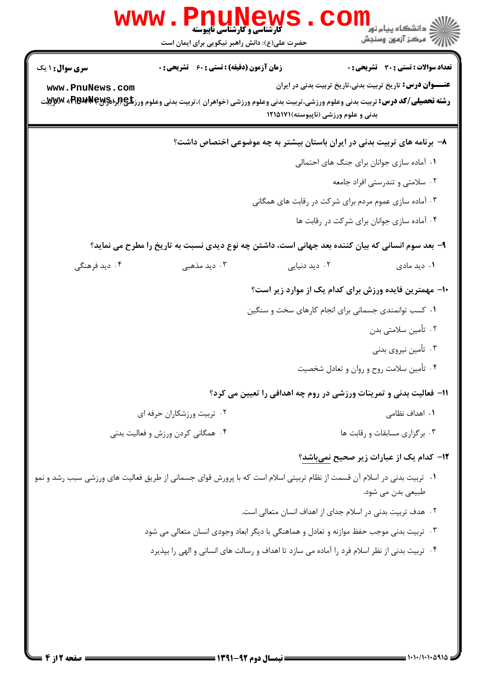|                                           | <b>WWW.PNUN</b><br><b>گارشناسی و کارشناسی ناپیوسته</b><br>حضرت علی(ع): دانش راهبر نیکویی برای ایمان است                                                                                               |                                                                          | ڪ دانشڪاه پيا <sub>م</sub> نور<br><mark>ر</mark> 7 مرڪز آزمون وسنڊش                                       |  |  |
|-------------------------------------------|-------------------------------------------------------------------------------------------------------------------------------------------------------------------------------------------------------|--------------------------------------------------------------------------|-----------------------------------------------------------------------------------------------------------|--|--|
| <b>سری سوال : ۱ یک</b><br>www.PnuNews.com | <b>زمان آزمون (دقیقه) : تستی : 60 ٪ تشریحی : 0</b><br><b>رشته تحصیلی/کد درس:</b> تربیت بدنی وعلوم ورزشی،تربیت بدنی وعلوم ورزشی (خواهران )،تربیت بدنی وعلوم ورز <b>تگی (لِمِرا\$RAPM + FR</b> BP + Mپر | بدنی و علوم ورزشی (ناپیوسته)۱۲۱۵۱۷۱                                      | تعداد سوالات : تستى : 30 - تشريحي : 0<br><b>عنــــوان درس:</b> تاریخ تربیت بدنی،تاریخ تربیت بدنی در ایران |  |  |
|                                           |                                                                                                                                                                                                       | ۸– برنامه های تربیت بدنی در ایران باستان بیشتر به چه موضوعی اختصاص داشت؟ |                                                                                                           |  |  |
|                                           |                                                                                                                                                                                                       |                                                                          | ٠١ آماده سازى جوانان براى جنگ هاى احتمالى                                                                 |  |  |
|                                           |                                                                                                                                                                                                       |                                                                          | ۰۲ سلامتی و تندرستی افراد جامعه                                                                           |  |  |
|                                           |                                                                                                                                                                                                       | ۰۳ آماده سازی عموم مردم برای شرکت در رقابت های همگانی                    |                                                                                                           |  |  |
|                                           |                                                                                                                                                                                                       |                                                                          | ۰۴ آماده سازی جوانان برای شرکت در رقابت ها                                                                |  |  |
|                                           | ۹– بعد سوم انسانی که بیان کننده بعد جهانی است، داشتن چه نوع دیدی نسبت به تاریخ را مطرح می نماید؟                                                                                                      |                                                                          |                                                                                                           |  |  |
| ۰۴ دید فرهنگی                             | ۰۳ دید مذهبی                                                                                                                                                                                          | ۰۲ دید دنیایی                                                            | ۰۱ دید مادی                                                                                               |  |  |
|                                           |                                                                                                                                                                                                       | ∙ا– مهمترین فایده ورزش برای کدام یک از موارد زیر است؟                    |                                                                                                           |  |  |
|                                           |                                                                                                                                                                                                       | ۰۱ کسب توانمندی جسمانی برای انجام کارهای سخت و سنگین                     |                                                                                                           |  |  |
|                                           |                                                                                                                                                                                                       |                                                                          | ۰۲ تأمین سلامتی بدن                                                                                       |  |  |
|                                           |                                                                                                                                                                                                       |                                                                          | ۰۳ تأمین نیروی بدنی                                                                                       |  |  |
|                                           |                                                                                                                                                                                                       |                                                                          | ۰۴ تأمین سلامت روح و روان و تعادل شخصیت                                                                   |  |  |
|                                           |                                                                                                                                                                                                       | 11- فعالیت بدنی و تمرینات ورزشی در روم چه اهدافی را تعیین می کرد؟        |                                                                                                           |  |  |
|                                           | ۰۲ تربیت ورزشکاران حرفه ای                                                                                                                                                                            |                                                                          | <b>۱.</b> اهداف نظامی                                                                                     |  |  |
|                                           | ۰۴ همگانی کردن ورزش و فعالیت بدنی                                                                                                                                                                     |                                                                          | ۰۳ برگزاری مسابقات و رقابت ها                                                                             |  |  |
|                                           |                                                                                                                                                                                                       |                                                                          | <b>۱۲</b> – کدام یک از عبارات زیر صحیح نمیباشد؟                                                           |  |  |
|                                           | ۰۱   تربیت بدنی در اسلام آن قسمت از نظام تربیتی اسلام است که با پرورش قوای جسمانی از طریق فعالیت های ورزشی سبب رشد و نمو                                                                              |                                                                          | طبیعی بدن می شود.                                                                                         |  |  |
|                                           |                                                                                                                                                                                                       | ۰۲ هدف تربیت بدنی در اسلام جدای از اهداف انسان متعالی است.               |                                                                                                           |  |  |
|                                           | ۰۳ تربیت بدنی موجب حفظ موازنه و تعادل و هماهنگی با دیگر ابعاد وجودی انسان متعالی می شود                                                                                                               |                                                                          |                                                                                                           |  |  |
|                                           | ۰۴ تربیت بدنی از نظر اسلام فرد را آماده می سازد تا اهداف و رسالت های انسانی و الهی را بپذیرد                                                                                                          |                                                                          |                                                                                                           |  |  |
|                                           |                                                                                                                                                                                                       |                                                                          |                                                                                                           |  |  |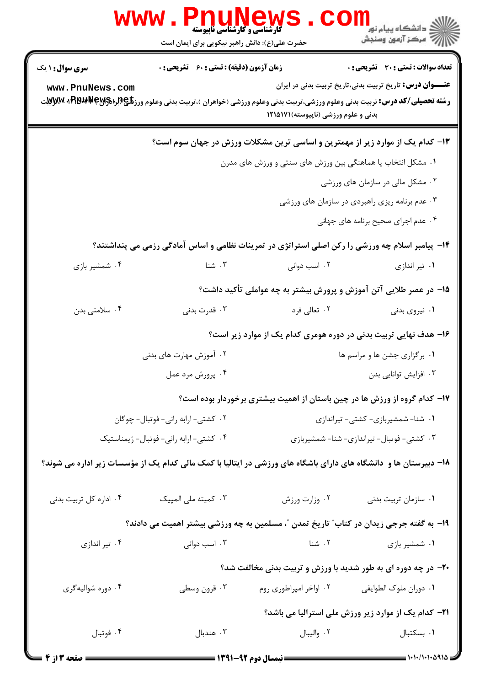|                                                                                                                                                                                                         | $\mathbf{www.}$<br>حضرت علی(ع): دانش راهبر نیکویی برای ایمان است | <b>. PNUNEWS</b><br><b>گارشناسی و کارشناسی ناپیوسته</b>     | ر دانشڪاه پيام نور <mark>−</mark><br>ا∛ مرکز آزمون وسنڊش                                                                                                                                                                                                                    |  |
|---------------------------------------------------------------------------------------------------------------------------------------------------------------------------------------------------------|------------------------------------------------------------------|-------------------------------------------------------------|-----------------------------------------------------------------------------------------------------------------------------------------------------------------------------------------------------------------------------------------------------------------------------|--|
| <b>سری سوال :</b> ۱ یک<br>www.PnuNews.com                                                                                                                                                               | <b>زمان آزمون (دقیقه) : تستی : 60 ٪ تشریحی : 0</b>               | بدنی و علوم ورزشی (ناپیوسته)۱۲۱۵۱۷۱                         | <b>تعداد سوالات : تستي : 30 ٪ تشريحي : 0</b><br><b>عنـــوان درس:</b> تاریخ تربیت بدنی،تاریخ تربیت بدنی در ایران<br><b>رشته تحصیلی/کد درس:</b> تربیت بدنی وعلوم ورزشی،تربیت بدنی وعلوم ورزشی (خواهران )،تربیت بدنی وعلوم ورز <b>تلي (براه<sub>۱</sub>۶۱۶۳۶۴ به Wِwِ</b> بِیت |  |
|                                                                                                                                                                                                         |                                                                  | ۰۱ مشکل انتخاب یا هماهنگی بین ورزش های سنتی و ورزش های مدرن | ۱۳- کدام یک از موارد زیر از مهمترین و اساسی ترین مشکلات ورزش در جهان سوم است؟<br>۰۲ مشکل مالی در سازمان های ورزشی<br>۰۳ عدم برنامه ریزی راهبردی در سازمان های ورزشی                                                                                                         |  |
| ۰۴ شمشیر بازی                                                                                                                                                                                           | ۰۳ شنا                                                           | ۰۲ اسب دوانی                                                | ۰۴ عدم اجرای صحیح برنامه های جهانی<br>۱۴- پیامبر اسلام چه ورزشی را رکن اصلی استراتژی در تمرینات نظامی و اساس آمادگی رزمی می پنداشتند؟<br>۰۱ تیر اندازی                                                                                                                      |  |
| ۰۴ سلامتی بدن                                                                                                                                                                                           | ۰۳ قدرت بدنی                                                     | ۰۲ تعالی فرد                                                | ۱۵– در عصر طلایی آتن آموزش و پرورش بیشتر به چه عواملی تأکید داشت؟<br>۰۱ نیروی بدنی                                                                                                                                                                                          |  |
| ۱۶– هدف نهایی تربیت بدنی در دوره هومری کدام یک از موارد زیر است؟<br>۰۲ آموزش مهارت های بدنی<br>۰۴ پرورش مرد عمل                                                                                         |                                                                  |                                                             | ۰۱ برگزاری جشن ها و مراسم ها<br>۰۳ افزایش توانایی بدن                                                                                                                                                                                                                       |  |
| ۱۷– کدام گروه از ورزش ها در چین باستان از اهمیت بیشتری برخوردار بوده است؟<br>٠٢ كشتى-ارابه رانى- فوتبال- چوكان                                                                                          |                                                                  | ٠١ شنا- شمشيربازي- كشتى- تيراندازي                          |                                                                                                                                                                                                                                                                             |  |
| ۰۴ کشتی-ارابه رانی-فوتبال- ژیمناستیک<br>۰۳ کشتی- فوتبال- تیراندازی- شنا- شمشیربازی<br>۱۸– دبیرستان ها و  دانشگاه های دارای باشگاه های ورزشی در ایتالیا با کمک مالی کدام یک از مؤسسات زیر اداره می شوند؟ |                                                                  |                                                             |                                                                                                                                                                                                                                                                             |  |
| ۰۴ اداره کل تربیت بدنی                                                                                                                                                                                  | ۰۳ کمیته ملی المپیک                                              | ٠٢ وزارت ورزش                                               | ٠١ سازمان تربيت بدني<br>1۹- به گفته جرجی زیدان در کتاب ؒ تاریخ تمدن ؒ، مسلمین به چه ورزشی بیشتر اهمیت می دادند؟                                                                                                                                                             |  |
| ۰۴ تیر اندازی<br>۰۴ دوره شواليهگري                                                                                                                                                                      | ۰۳ اسب دوانی<br>۰۳ قرون وسطى                                     | ۰۲ شنا<br>۰۲ اواخر امپراطوری روم                            | ۰۱ شمشیر بازی<br><b>۲۰</b> - در چه دوره ای به طور شدید با ورزش و تربیت بدنی مخالفت شد؟<br>٠١ دوران ملوك الطوايفي                                                                                                                                                            |  |
| ۰۴ فوتبال                                                                                                                                                                                               | ۰۳ هندبال                                                        | ٠٢ واليبال                                                  | <b>۲۱</b> – کدام یک از موارد زیر ورزش ملی استرالیا می باشد؟<br>٠١ بسكتبال                                                                                                                                                                                                   |  |

 $1.1 - 1.1 - 1.2912$